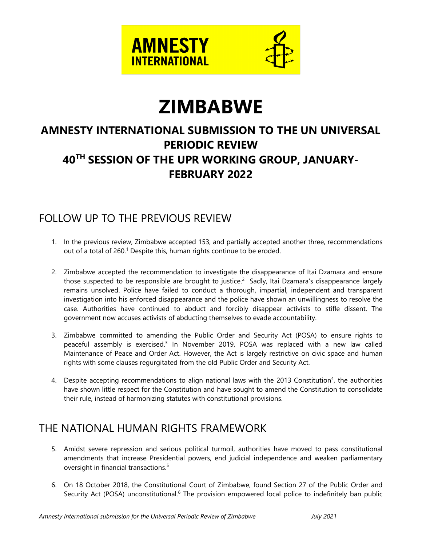

# **ZIMBABWE**

# **AMNESTY INTERNATIONAL SUBMISSION TO THE UN UNIVERSAL PERIODIC REVIEW 40TH SESSION OF THE UPR WORKING GROUP, JANUARY-FEBRUARY 2022**

# FOLLOW UP TO THE PREVIOUS REVIEW

- 1. In the previous review, Zimbabwe accepted 153, and partially accepted another three, recommendations out of a total of 260.<sup>1</sup> Despite this, human rights continue to be eroded.
- 2. Zimbabwe accepted the recommendation to investigate the disappearance of Itai Dzamara and ensure those suspected to be responsible are brought to justice. $^2\,$  Sadly, Itai Dzamara's disappearance largely remains unsolved. Police have failed to conduct <sup>a</sup> thorough, impartial, independent and transparent investigation into his enforced disappearance and the police have shown an unwillingness to resolve the case. Authorities have continued to abduct and forcibly disappear activists to stifle dissent. The governmen<sup>t</sup> now accuses activists of abducting themselves to evade accountability.
- 3. Zimbabwe committed to amending the Public Order and Security Act (POSA) to ensure rights to peaceful assembly is exercised.<sup>3</sup> In November 2019, POSA was replaced with a new law called Maintenance of Peace and Order Act. However, the Act is largely restrictive on civic space and human rights with some clauses regurgitated from the old Public Order and Security Act.
- 4. Despite accepting recommendations to align national laws with the 2013 Constitution<sup>4</sup>, the authorities have shown little respect for the Constitution and have sought to amend the Constitution to consolidate their rule, instead of harmonizing statutes with constitutional provisions.

# THE NATIONAL HUMAN RIGHTS FRAMEWORK

- 5. Amidst severe repression and serious political turmoil, authorities have moved to pass constitutional amendments that increase Presidential powers, end judicial independence and weaken parliamentary oversight in financial transactions. 5
- 6. On 18 October 2018, the Constitutional Court of Zimbabwe, found Section 27 of the Public Order and Security Act (POSA) unconstitutional.<sup>6</sup> The provision empowered local police to indefinitely ban public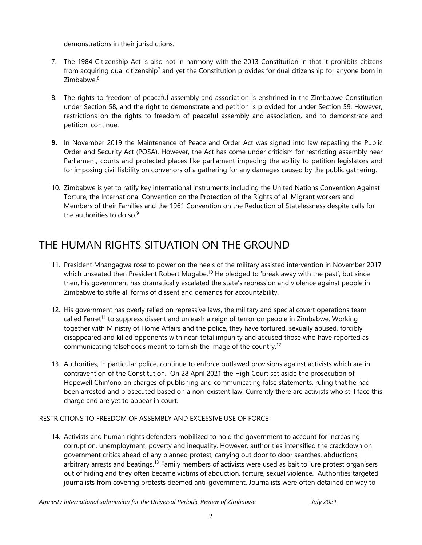demonstrations in their jurisdictions.

- 7. The 1984 Citizenship Act is also not in harmony with the 2013 Constitution in that it prohibits citizens from acquiring dual citizenship<sup>7</sup> and yet the Constitution provides for dual citizenship for anyone born in Zimbabwe. 8
- 8. The rights to freedom of peaceful assembly and association is enshrined in the Zimbabwe Constitution under Section 58, and the right to demonstrate and petition is provided for under Section 59. However, restrictions on the rights to freedom of peaceful assembly and association, and to demonstrate and petition, continue.
- **9.** In November 2019 the Maintenance of Peace and Order Act was signed into law repealing the Public Order and Security Act (POSA). However, the Act has come under criticism for restricting assembly near Parliament, courts and protected places like parliament impeding the ability to petition legislators and for imposing civil liability on convenors of <sup>a</sup> gathering for any damages caused by the public gathering.
- 10. Zimbabwe is ye<sup>t</sup> to ratify key international instruments including the United Nations Convention Against Torture, the International Convention on the Protection of the Rights of all Migrant workers and Members of their Families and the 1961 Convention on the Reduction of Statelessness despite calls for the authorities to do so.<sup>9</sup>

# THE HUMAN RIGHTS SITUATION ON THE GROUND

- 11. President Mnangagwa rose to power on the heels of the military assisted intervention in November 2017 which unseated then President Robert Mugabe. $^{\rm 10}$  He pledged to 'break away with the past', but since then, his governmen<sup>t</sup> has dramatically escalated the state'<sup>s</sup> repression and violence against people in Zimbabwe to stifle all forms of dissent and demands for accountability.
- 12. His governmen<sup>t</sup> has overly relied on repressive laws, the military and special covert operations team called Ferret<sup>11</sup> to suppress dissent and unleash a reign of terror on people in Zimbabwe. Working together with Ministry of Home Affairs and the police, they have tortured, sexually abused, forcibly disappeared and killed opponents with near-total impunity and accused those who have reported as communicating falsehoods meant to tarnish the image of the country. $^{12}$
- 13. Authorities, in particular police, continue to enforce outlawed provisions against activists which are in contravention of the Constitution. On 28 April 2021 the High Court set aside the prosecution of Hopewell Chin'ono on charges of publishing and communicating false statements, ruling that he had been arrested and prosecuted based on <sup>a</sup> non-existent law. Currently there are activists who still face this charge and are ye<sup>t</sup> to appear in court.

### RESTRICTIONS TO FREEDOM OF ASSEMBLY AND EXCESSIVE USE OF FORCE

14. Activists and human rights defenders mobilized to hold the governmen<sup>t</sup> to account for increasing corruption, unemployment, poverty and inequality. However, authorities intensified the crackdown on governmen<sup>t</sup> critics ahead of any planned protest, carrying out door to door searches, abductions, arbitrary arrests and beatings.<sup>13</sup> Family members of activists were used as bait to lure protest organisers out of hiding and they often became victims of abduction, torture, sexual violence. Authorities targeted journalists from covering protests deemed anti-government. Journalists were often detained on way to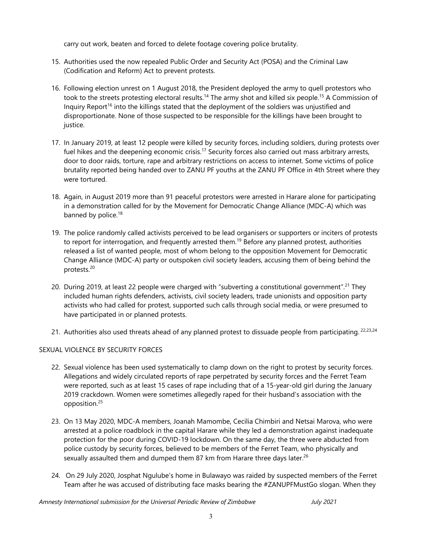carry out work, beaten and forced to delete footage covering police brutality.

- 15. Authorities used the now repealed Public Order and Security Act (POSA) and the Criminal Law (Codification and Reform) Act to prevent protests.
- 16. Following election unrest on 1 August 2018, the President deployed the army to quell protestors who took to the streets protesting electoral results.<sup>14</sup> The army shot and killed six people.<sup>15</sup> A Commission of Inquiry Report<sup>16</sup> into the killings stated that the deployment of the soldiers was unjustified and disproportionate. None of those suspected to be responsible for the killings have been brought to justice.
- 17. In January 2019, at least 12 people were killed by security forces, including soldiers, during protests over fuel hikes and the deepening economic crisis.<sup>17</sup> Security forces also carried out mass arbitrary arrests, door to door raids, torture, rape and arbitrary restrictions on access to internet. Some victims of police brutality reported being handed over to ZANU PF youths at the ZANU PF Office in 4th Street where they were tortured.
- 18. Again, in August 2019 more than 91 peaceful protestors were arrested in Harare alone for participating in <sup>a</sup> demonstration called for by the Movement for Democratic Change Alliance (MDC-A) which was banned by police.<sup>18</sup>
- 19. The police randomly called activists perceived to be lead organisers or supporters or inciters of protests to report for interrogation, and frequently arrested them. 19 Before any planned protest, authorities released <sup>a</sup> list of wanted people, most of whom belong to the opposition Movement for Democratic Change Alliance (MDC-A) party or outspoken civil society leaders, accusing them of being behind the protests. 20
- 20. During 2019, at least 22 people were charged with "subverting a constitutional government".<sup>21</sup> They included human rights defenders, activists, civil society leaders, trade unionists and opposition party activists who had called for protest, supported such calls through social media, or were presumed to have participated in or planned protests.
- 21. Authorities also used threats ahead of any planned protest to dissuade people from participating. <sup>22,23,24</sup>

### SEXUAL VIOLENCE BY SECURITY FORCES

- 22. Sexual violence has been used systematically to clamp down on the right to protest by security forces. Allegations and widely circulated reports of rape perpetrated by security forces and the Ferret Team were reported, such as at least 15 cases of rape including that of <sup>a</sup> 15-year-old girl during the January 2019 crackdown. Women were sometimes allegedly raped for their husband'<sup>s</sup> association with the opposition. 25
- 23. On 13 May 2020, MDC-A members, Joanah Mamombe, Cecilia Chimbiri and Netsai Marova, who were arrested at <sup>a</sup> police roadblock in the capital Harare while they led <sup>a</sup> demonstration against inadequate protection for the poor during COVID-19 lockdown. On the same day, the three were abducted from police custody by security forces, believed to be members of the Ferret Team, who physically and sexually assaulted them and dumped them 87 km from Harare three days later.<sup>26</sup>
- 24. On 29 July 2020, Josphat Ngulube'<sup>s</sup> home in Bulawayo was raided by suspected members of the Ferret Team after he was accused of distributing face masks bearing the #ZANUPFMustGo slogan. When they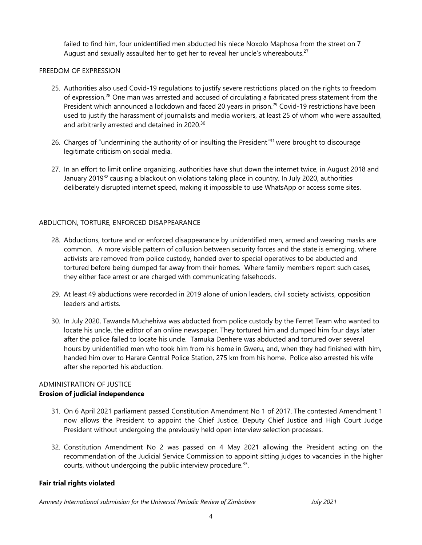failed to find him, four unidentified men abducted his niece Noxolo Maphosa from the street on 7 August and sexually assaulted her to get her to reveal her uncle's whereabouts.<sup>27</sup>

#### FREEDOM OF EXPRESSION

- 25. Authorities also used Covid-19 regulations to justify severe restrictions placed on the rights to freedom of expression.<sup>28</sup> One man was arrested and accused of circulating a fabricated press statement from the President which announced <sup>a</sup> lockdown and faced 20 years in prison. 29 Covid-19 restrictions have been used to justify the harassment of journalists and media workers, at least 25 of whom who were assaulted, and arbitrarily arrested and detained in 2020. $^{\rm 30}$
- 26. Charges of "undermining the authority of or insulting the President"<sup>31</sup> were brought to discourage legitimate criticism on social media.
- 27. In an effort to limit online organizing, authorities have shut down the internet twice, in August 2018 and January 2019<sup>32</sup> causing a blackout on violations taking place in country. In July 2020, authorities deliberately disrupted internet speed, making it impossible to use WhatsApp or access some sites.

# ABDUCTION, TORTURE, ENFORCED DISAPPEARANCE

- 28. Abductions, torture and or enforced disappearance by unidentified men, armed and wearing masks are common. A more visible pattern of collusion between security forces and the state is emerging, where activists are removed from police custody, handed over to special operatives to be abducted and tortured before being dumped far away from their homes. Where family members report such cases, they either face arrest or are charged with communicating falsehoods.
- 29. At least 49 abductions were recorded in 2019 alone of union leaders, civil society activists, opposition leaders and artists.
- 30. In July 2020, Tawanda Muchehiwa was abducted from police custody by the Ferret Team who wanted to locate his uncle, the editor of an online newspaper. They tortured him and dumped him four days later after the police failed to locate his uncle. Tamuka Denhere was abducted and tortured over several hours by unidentified men who took him from his home in Gweru, and, when they had finished with him, handed him over to Harare Central Police Station, 275 km from his home. Police also arrested his wife after she reported his abduction.

### ADMINISTRATION OF JUSTICE **Erosion of judicial independence**

- 31. On 6 April 2021 parliament passed Constitution Amendment No 1 of 2017. The contested Amendment 1 now allows the President to appoint the Chief Justice, Deputy Chief Justice and High Court Judge President without undergoing the previously held open interview selection processes.
- 32. Constitution Amendment No 2 was passed on 4 May 2021 allowing the President acting on the recommendation of the Judicial Service Commission to appoint sitting judges to vacancies in the higher courts, without undergoing the public interview procedure. $^{\rm 33}$ .

### **Fair trial rights violated**

*Amnesty International submission for the Universal Periodic Review of Zimbabwe July 2021*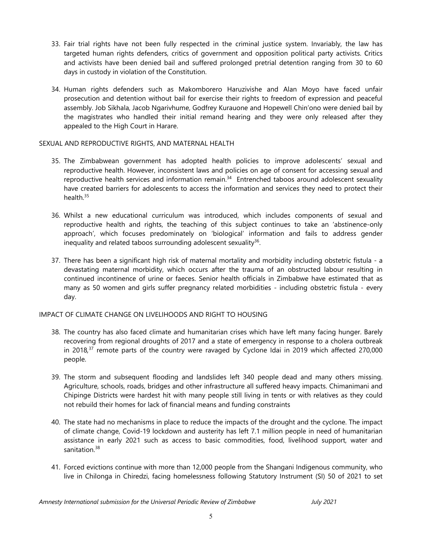- 33. Fair trial rights have not been fully respected in the criminal justice system. Invariably, the law has targeted human rights defenders, critics of governmen<sup>t</sup> and opposition political party activists. Critics and activists have been denied bail and suffered prolonged pretrial detention ranging from 30 to 60 days in custody in violation of the Constitution.
- 34. Human rights defenders such as Makomborero Haruzivishe and Alan Moyo have faced unfair prosecution and detention without bail for exercise their rights to freedom of expression and peaceful assembly. Job Sikhala, Jacob Ngarivhume, Godfrey Kurauone and Hopewell Chin'ono were denied bail by the magistrates who handled their initial remand hearing and they were only released after they appealed to the High Court in Harare.

#### SEXUAL AND REPRODUCTIVE RIGHTS, AND MATERNAL HEALTH

- 35. The Zimbabwean governmen<sup>t</sup> has adopted health policies to improve adolescents' sexual and reproductive health. However, inconsistent laws and policies on age of consent for accessing sexual and reproductive health services and information remain.<sup>34</sup> Entrenched taboos around adolescent sexuality have created barriers for adolescents to access the information and services they need to protect their health.<sup>35</sup>
- 36. Whilst <sup>a</sup> new educational curriculum was introduced, which includes components of sexual and reproductive health and rights, the teaching of this subject continues to take an 'abstinence-only approach', which focuses predominately on 'biological' information and fails to address gender inequality and related taboos surrounding adolescent sexuality $^{\rm 36}$ .
- 37. There has been <sup>a</sup> significant high risk of maternal mortality and morbidity including obstetric fistula <sup>a</sup> devastating maternal morbidity, which occurs after the trauma of an obstructed labour resulting in continued incontinence of urine or faeces. Senior health officials in Zimbabwe have estimated that as many as 50 women and girls suffer pregnancy related morbidities - including obstetric fistula - every day.

### IMPACT OF CLIMATE CHANGE ON LIVELIHOODS AND RIGHT TO HOUSING

- 38. The country has also faced climate and humanitarian crises which have left many facing hunger. Barely recovering from regional droughts of 2017 and <sup>a</sup> state of emergency in response to <sup>a</sup> cholera outbreak in 2018*,* 37 remote parts of the country were ravaged by Cyclone Idai in 2019 which affected 270,000 people.
- 39. The storm and subsequent flooding and landslides left 340 people dead and many others missing. Agriculture, schools, roads, bridges and other infrastructure all suffered heavy impacts. Chimanimani and Chipinge Districts were hardest hit with many people still living in tents or with relatives as they could not rebuild their homes for lack of financial means and funding constraints
- 40. The state had no mechanisms in place to reduce the impacts of the drought and the cyclone. The impact of climate change, Covid-19 lockdown and austerity has left 7.1 million people in need of humanitarian assistance in early 2021 such as access to basic commodities, food, livelihood support, water and sanitation.<sup>38</sup>
- 41. Forced evictions continue with more than 12,000 people from the Shangani Indigenous community, who live in Chilonga in Chiredzi, facing homelessness following Statutory Instrument (SI) 50 of 2021 to set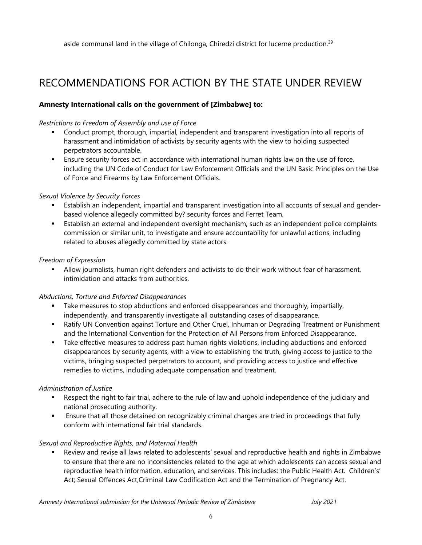aside communal land in the village of Chilonga, Chiredzi district for lucerne production.<sup>39</sup>

# RECOMMENDATIONS FOR ACTION BY THE STATE UNDER REVIEW

## **Amnesty International calls on the government of [Zimbabwe] to:**

#### *Restrictions to Freedom of Assembly and use of Force*

- Conduct prompt, thorough, impartial, independent and transparent investigation into all reports of harassment and intimidation of activists by security agents with the view to holding suspected perpetrators accountable.
- Ensure security forces act in accordance with international human rights law on the use of force, including the UN Code of Conduct for Law Enforcement Officials and the UN Basic Principles on the Use of Force and Firearms by Law Enforcement Officials.

#### *Sexual Violence by Security Forces*

- Establish an independent, impartial and transparent investigation into all accounts of sexual and genderbased violence allegedly committed by? security forces and Ferret Team.
- Establish an external and independent oversight mechanism, such as an independent police complaints commission or similar unit, to investigate and ensure accountability for unlawful actions, including related to abuses allegedly committed by state actors.

#### *Freedom of Expression*

 Allow journalists, human right defenders and activists to do their work without fear of harassment, intimidation and attacks from authorities.

#### *Abductions, Torture and Enforced Disappearances*

- Take measures to stop abductions and enforced disappearances and thoroughly, impartially, independently, and transparently investigate all outstanding cases of disappearance.
- Ratify UN Convention against Torture and Other Cruel, Inhuman or Degrading Treatment or Punishment and the International Convention for the Protection of All Persons from Enforced Disappearance.
- Take effective measures to address past human rights violations, including abductions and enforced disappearances by security agents, with <sup>a</sup> view to establishing the truth, giving access to justice to the victims, bringing suspected perpetrators to account, and providing access to justice and effective remedies to victims, including adequate compensation and treatment.

### *Administration of Justice*

- Respect the right to fair trial, adhere to the rule of law and uphold independence of the judiciary and national prosecuting authority.
- Ensure that all those detained on recognizably criminal charges are tried in proceedings that fully conform with international fair trial standards.

#### *Sexual and Reproductive Rights, and Maternal Health*

 Review and revise all laws related to adolescents' sexual and reproductive health and rights in Zimbabwe to ensure that there are no inconsistencies related to the age at which adolescents can access sexual and reproductive health information, education, and services. This includes: the Public Health Act. Children's' Act; Sexual Offences Act,Criminal Law Codification Act and the Termination of Pregnancy Act.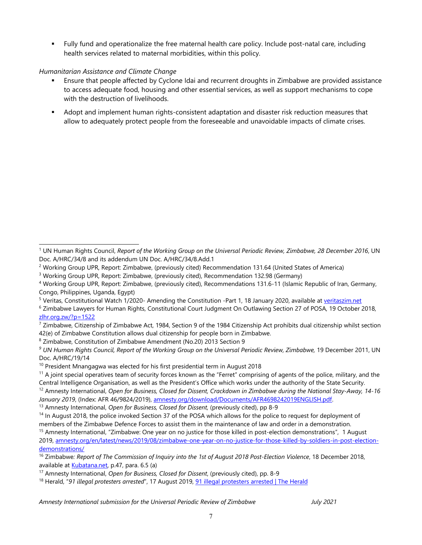Fully fund and operationalize the free maternal health care policy. Include post-natal care, including health services related to maternal morbidities, within this policy.

### *Humanitarian Assistance and Climate Change*

- П Ensure that people affected by Cyclone Idai and recurrent droughts in Zimbabwe are provided assistance to access adequate food, housing and other essential services, as well as support mechanisms to cope with the destruction of livelihoods.
- Adopt and implement human rights-consistent adaptation and disaster risk reduction measures that allow to adequately protect people from the foreseeable and unavoidable impacts of climate crises.

13 Amnesty International, *Open for Business, Closed for Dissent,* (previously cited), pp 8-9

*Amnesty International submission for the Universal Periodic Review of Zimbabwe July 2021*

<sup>1</sup> UN Human Rights Council, *Report of the Working Group on the Universal Periodic Review, Zimbabwe, 28 December 2016*, UN Doc. A/HRC/34/8 and its addendum UN Doc. A/HRC/34/8.Add.1

<sup>&</sup>lt;sup>2</sup> Working Group UPR, Report: Zimbabwe, (previously cited) Recommendation 131.64 (United States of America)

<sup>&</sup>lt;sup>3</sup> Working Group UPR, Report: Zimbabwe, (previously cited), Recommendation 132.98 (Germany)

<sup>4</sup> Working Group UPR, Report: Zimbabwe, (previously cited), Recommendations 131.6-11 (Islamic Republic of Iran, Germany, Congo, Philippines, Uganda, Egypt)

<sup>&</sup>lt;sup>5</sup> Veritas, Constitutional Watch 1/2020- Amending the Constitution -Part 1, 18 January 2020, available at [veritaszim.net](https://www.veritaszim.net/node/3900)

<sup>6</sup> Zimbabwe Lawyers for Human Rights, Constitutional Court Judgment On Outlawing Section 27 of POSA, 19 October 2018,  $z$ lhr.org.zw/?p=1522

<sup>&</sup>lt;sup>7</sup> Zimbabwe, Citizenship of Zimbabwe Act, 1984, Section 9 of the 1984 Citizenship Act prohibits dual citizenship whilst section 42(e) of Zimbabwe Constitution allows dual citizenship for people born in Zimbabwe.

<sup>8</sup> Zimbabwe, Constitution of Zimbabwe Amendment (No.20) 2013 Section 9

<sup>&</sup>lt;sup>9</sup> UN Human Rights Council, Report of the Working Group on the Universal Periodic Review, Zimbabwe, 19 December 2011, UN Doc. A/HRC/19/14

 $^{10}$  President Mnangagwa was elected for his first presidential term in August 2018

 $11$  A joint special operatives team of security forces known as the "Ferret" comprising of agents of the police, military, and the Central Intelligence Organisation, as well as the President'<sup>s</sup> Office which works under the authority of the State Security.

<sup>12</sup> Amnesty International, *Open for Business, Closed for Dissent, Crackdown in Zimbabwe during the National Stay-Away, 14-16 January 2019*, (Index: AFR 46/9824/2019), [amnesty.org/download/Documents/AFR4698242019ENGLISH.pdf](https://www.amnesty.org/download/Documents/AFR4698242019ENGLISH.pdf).

<sup>&</sup>lt;sup>14</sup> In August 2018, the police invoked Section 37 of the POSA which allows for the police to request for deployment of members of the Zimbabwe Defence Forces to assist them in the maintenance of law and order in <sup>a</sup> demonstration.

<sup>&</sup>lt;sup>15</sup> Amnesty International, "Zimbabwe: One year on no justice for those killed in post-election demonstrations", 1 August 2019, amnesty.org/en/latest/news/2019/08/zimbabwe-one-year-on-no-justice-for-those-killed-by-soldiers-in-post-electiondemonstrations/

<sup>16</sup> Zimbabwe*: Report of The Commission of Inquiry into the 1st of August 2018 Post-Election Violence*, 18 December 2018, available at [Kubatana.net](https://kubatana.net/2018/12/18/report-commission-inquiry-1-august-2018-post-election-violence/), p.47, para. 6.5 (a)

<sup>17</sup> Amnesty International, *Open for Business, Closed for Dissent*, (previously cited), pp. 8-9

<sup>18</sup> Herald, "*91 illegal protesters arrested*", 17 August 2019, 91 illegal [protesters](https://www.herald.co.zw/91-illegal-protesters-arrested/) arrested | The Herald